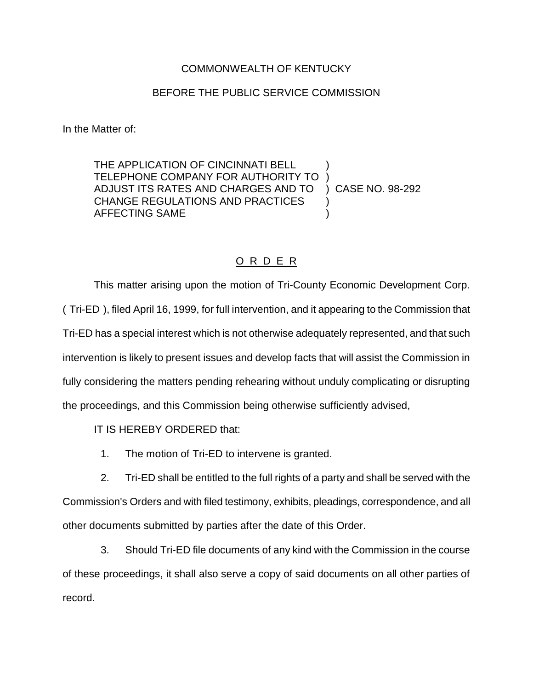## COMMONWEALTH OF KENTUCKY

## BEFORE THE PUBLIC SERVICE COMMISSION

In the Matter of:

THE APPLICATION OF CINCINNATI BELL TELEPHONE COMPANY FOR AUTHORITY TO ) ADJUST ITS RATES AND CHARGES AND TO ) CASE NO. 98-292 CHANGE REGULATIONS AND PRACTICES  $\qquad$  ) AFFECTING SAME )

## O R D E R

This matter arising upon the motion of Tri-County Economic Development Corp. ( Tri-ED ), filed April 16, 1999, for full intervention, and it appearing to the Commission that Tri-ED has a special interest which is not otherwise adequately represented, and that such intervention is likely to present issues and develop facts that will assist the Commission in fully considering the matters pending rehearing without unduly complicating or disrupting the proceedings, and this Commission being otherwise sufficiently advised,

IT IS HEREBY ORDERED that:

1. The motion of Tri-ED to intervene is granted.

2. Tri-ED shall be entitled to the full rights of a party and shall be served with the Commission's Orders and with filed testimony, exhibits, pleadings, correspondence, and all other documents submitted by parties after the date of this Order.

3. Should Tri-ED file documents of any kind with the Commission in the course of these proceedings, it shall also serve a copy of said documents on all other parties of record.